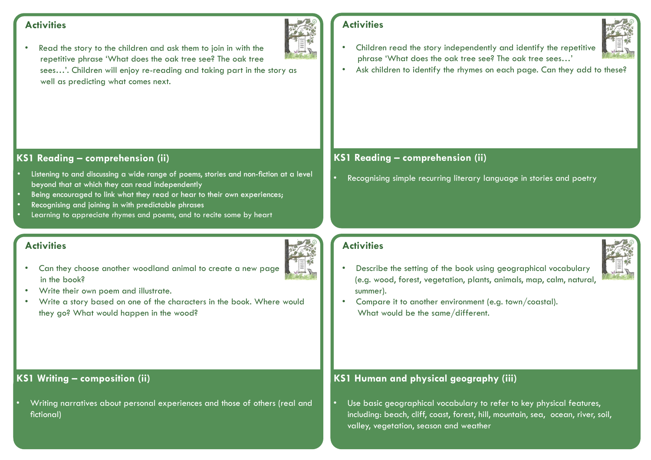• Read the story to the children and ask them to join in with the repetitive phrase 'What does the oak tree see? The oak tree sees…'. Children will enjoy re-reading and taking part in the story as well as predicting what comes next.

# **KS1 Reading – comprehension (ii)**

- Listening to and discussing a wide range of poems, stories and non-fiction at a level beyond that at which they can read independently
- Being encouraged to link what they read or hear to their own experiences;

• Can they choose another woodland animal to create a new page

• Write a story based on one of the characters in the book. Where would

• Recognising and joining in with predictable phrases

• Write their own poem and illustrate.

they go? What would happen in the wood?

• Learning to appreciate rhymes and poems, and to recite some by heart

# **Activities**

in the book?

# **Activities**

- Describe the setting of the book using geographical vocabulary (e.g. wood, forest, vegetation, plants, animals, map, calm, natural, summer).
- Compare it to another environment (e.g. town/coastal). What would be the same/different.

### **KS1 Writing – composition (ii)**

• Writing narratives about personal experiences and those of others (real and fictional)

#### **KS1 Human and physical geography (iii)**

Use basic geographical vocabulary to refer to key physical features, including: beach, cliff, coast, forest, hill, mountain, sea, ocean, river, soil, valley, vegetation, season and weather

#### • Children read the story independently and identify the repetitive phrase 'What does the oak tree see? The oak tree sees…'

• Ask children to identify the rhymes on each page. Can they add to these?

### **KS1 Reading – comprehension (ii)**

• Recognising simple recurring literary language in stories and poetry

**Activities**





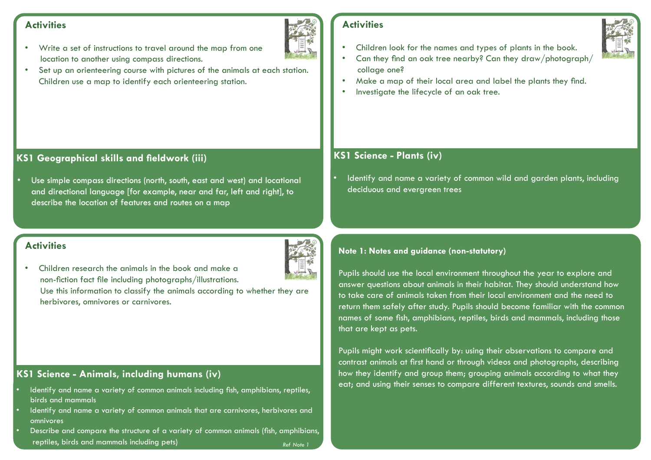• Write a set of instructions to travel around the map from one location to another using compass directions.



Set up an orienteering course with pictures of the animals at each station. Children use a map to identify each orienteering station.

# **KS1 Geographical skills and fieldwork (iii)**

Use simple compass directions (north, south, east and west) and locational and directional language [for example, near and far, left and right], to describe the location of features and routes on a map

# **Activities**



• Children research the animals in the book and make a non-fiction fact file including photographs/illustrations. Use this information to classify the animals according to whether they are herbivores, omnivores or carnivores.

# **KS1 Science - Animals, including humans (iv)**

- Identify and name a variety of common animals including fish, amphibians, reptiles, birds and mammals
- Identify and name a variety of common animals that are carnivores, herbivores and omnivores
- Describe and compare the structure of a variety of common animals (fish, amphibians, reptiles, birds and mammals including pets) *Ref Note 1*

# **Activities**

- Children look for the names and types of plants in the book.
- Can they find an oak tree nearby? Can they draw/photograph/ collage one?
- Make a map of their local area and label the plants they find.
- Investigate the lifecycle of an oak tree.

# **KS1 Science - Plants (iv)**

• Identify and name a variety of common wild and garden plants, including deciduous and evergreen trees

# **Note 1: Notes and guidance (non-statutory)**

Pupils should use the local environment throughout the year to explore and answer questions about animals in their habitat. They should understand how to take care of animals taken from their local environment and the need to return them safely after study. Pupils should become familiar with the common names of some fish, amphibians, reptiles, birds and mammals, including those that are kept as pets.

Pupils might work scientifically by: using their observations to compare and contrast animals at first hand or through videos and photographs, describing how they identify and group them; grouping animals according to what they eat; and using their senses to compare different textures, sounds and smells.

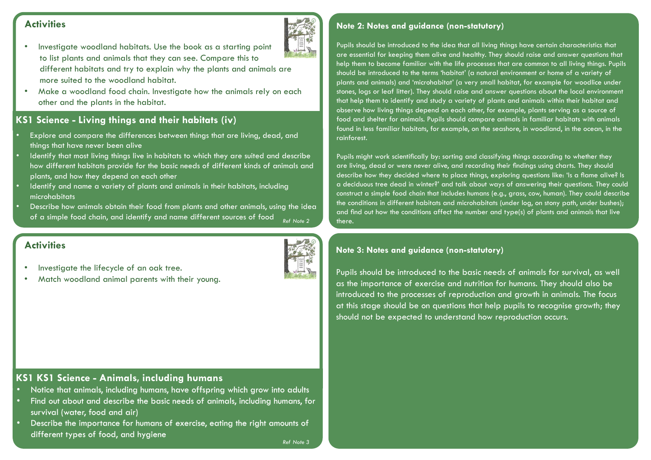

 to list plants and animals that they can see. Compare this to different habitats and try to explain why the plants and animals are more suited to the woodland habitat.

• Investigate woodland habitats. Use the book as a starting point

• Make a woodland food chain. Investigate how the animals rely on each other and the plants in the habitat.

### **KS1 Science - Living things and their habitats (iv)**

- Explore and compare the differences between things that are living, dead, and things that have never been alive
- Identify that most living things live in habitats to which they are suited and describe how different habitats provide for the basic needs of different kinds of animals and plants, and how they depend on each other
- Identify and name a variety of plants and animals in their habitats, including microhabitats
- Describe how animals obtain their food from plants and other animals, using the idea of a simple food chain, and identify and name different sources of food **Ref Note 2** there.

### **Activities**

- Investigate the lifecycle of an oak tree.
- Match woodland animal parents with their young.

#### **KS1 KS1 Science - Animals, including humans**

- Notice that animals, including humans, have offspring which grow into adults
- Find out about and describe the basic needs of animals, including humans, for survival (water, food and air)
- Describe the importance for humans of exercise, eating the right amounts of different types of food, and hygiene

#### **Note 2: Notes and guidance (non-statutory)**

Pupils should be introduced to the idea that all living things have certain characteristics that are essential for keeping them alive and healthy. They should raise and answer questions that help them to become familiar with the life processes that are common to all living things. Pupils should be introduced to the terms 'habitat' (a natural environment or home of a variety of plants and animals) and 'microhabitat' (a very small habitat, for example for woodlice under stones, logs or leaf litter). They should raise and answer questions about the local environment that help them to identify and study a variety of plants and animals within their habitat and observe how living things depend on each other, for example, plants serving as a source of food and shelter for animals. Pupils should compare animals in familiar habitats with animals found in less familiar habitats, for example, on the seashore, in woodland, in the ocean, in the rainforest.

Pupils might work scientifically by: sorting and classifying things according to whether they are living, dead or were never alive, and recording their findings using charts. They should describe how they decided where to place things, exploring questions like: 'Is a flame alive? Is a deciduous tree dead in winter?' and talk about ways of answering their questions. They could construct a simple food chain that includes humans (e.g., grass, cow, human). They could describe the conditions in different habitats and microhabitats (under log, on stony path, under bushes); and find out how the conditions affect the number and type(s) of plants and animals that live

#### **Note 3: Notes and guidance (non-statutory)**

Pupils should be introduced to the basic needs of animals for survival, as well as the importance of exercise and nutrition for humans. They should also be introduced to the processes of reproduction and growth in animals. The focus at this stage should be on questions that help pupils to recognise growth; they should not be expected to understand how reproduction occurs.